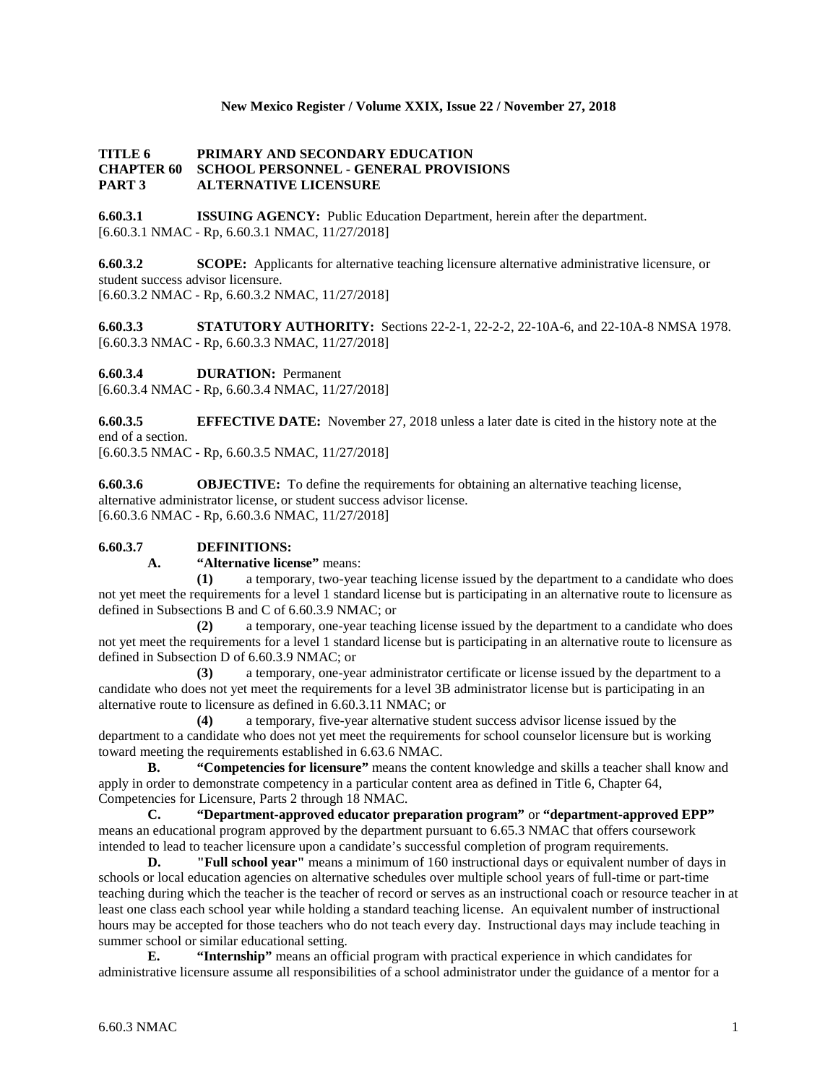# **New Mexico Register / Volume XXIX, Issue 22 / November 27, 2018**

# **TITLE 6 PRIMARY AND SECONDARY EDUCATION CHAPTER 60 SCHOOL PERSONNEL - GENERAL PROVISIONS PART 3 ALTERNATIVE LICENSURE**

**6.60.3.1 ISSUING AGENCY:** Public Education Department, herein after the department. [6.60.3.1 NMAC - Rp, 6.60.3.1 NMAC, 11/27/2018]

**6.60.3.2 SCOPE:** Applicants for alternative teaching licensure alternative administrative licensure, or student success advisor licensure. [6.60.3.2 NMAC - Rp, 6.60.3.2 NMAC, 11/27/2018]

**6.60.3.3 STATUTORY AUTHORITY:** Sections 22-2-1, 22-2-2, 22-10A-6, and 22-10A-8 NMSA 1978. [6.60.3.3 NMAC - Rp, 6.60.3.3 NMAC, 11/27/2018]

**6.60.3.4 DURATION:** Permanent

[6.60.3.4 NMAC - Rp, 6.60.3.4 NMAC, 11/27/2018]

**6.60.3.5 EFFECTIVE DATE:** November 27, 2018 unless a later date is cited in the history note at the end of a section. [6.60.3.5 NMAC - Rp, 6.60.3.5 NMAC, 11/27/2018]

**6.60.3.6 OBJECTIVE:** To define the requirements for obtaining an alternative teaching license, alternative administrator license, or student success advisor license. [6.60.3.6 NMAC - Rp, 6.60.3.6 NMAC, 11/27/2018]

# **6.60.3.7 DEFINITIONS:**

#### **A. "Alternative license"** means:

**(1)** a temporary, two-year teaching license issued by the department to a candidate who does not yet meet the requirements for a level 1 standard license but is participating in an alternative route to licensure as defined in Subsections B and C of 6.60.3.9 NMAC; or

**(2)** a temporary, one-year teaching license issued by the department to a candidate who does not yet meet the requirements for a level 1 standard license but is participating in an alternative route to licensure as defined in Subsection D of 6.60.3.9 NMAC; or

**(3)** a temporary, one-year administrator certificate or license issued by the department to a candidate who does not yet meet the requirements for a level 3B administrator license but is participating in an alternative route to licensure as defined in 6.60.3.11 NMAC; or

**(4)** a temporary, five-year alternative student success advisor license issued by the department to a candidate who does not yet meet the requirements for school counselor licensure but is working toward meeting the requirements established in 6.63.6 NMAC.

**B. "Competencies for licensure"** means the content knowledge and skills a teacher shall know and apply in order to demonstrate competency in a particular content area as defined in Title 6, Chapter 64, Competencies for Licensure, Parts 2 through 18 NMAC.

**C. "Department-approved educator preparation program"** or **"department-approved EPP"** means an educational program approved by the department pursuant to 6.65.3 NMAC that offers coursework intended to lead to teacher licensure upon a candidate's successful completion of program requirements.

**D. "Full school year"** means a minimum of 160 instructional days or equivalent number of days in schools or local education agencies on alternative schedules over multiple school years of full-time or part-time teaching during which the teacher is the teacher of record or serves as an instructional coach or resource teacher in at least one class each school year while holding a standard teaching license. An equivalent number of instructional hours may be accepted for those teachers who do not teach every day. Instructional days may include teaching in summer school or similar educational setting.

**E. "Internship"** means an official program with practical experience in which candidates for administrative licensure assume all responsibilities of a school administrator under the guidance of a mentor for a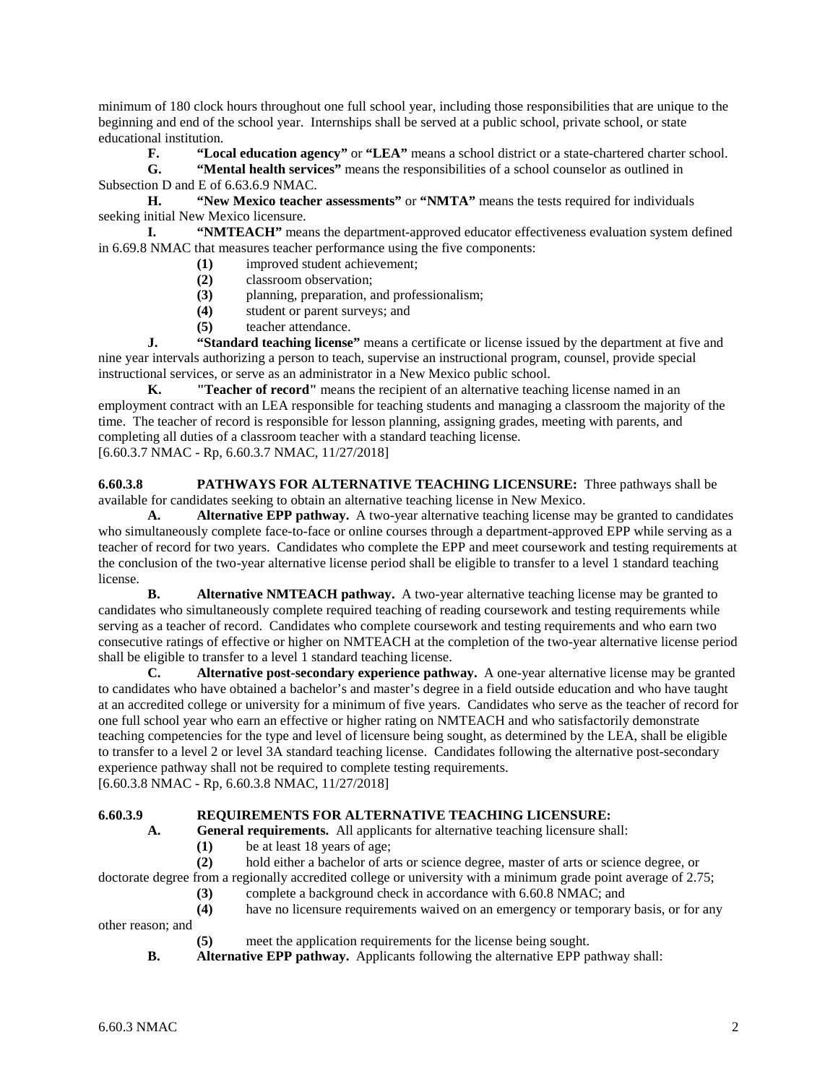minimum of 180 clock hours throughout one full school year, including those responsibilities that are unique to the beginning and end of the school year. Internships shall be served at a public school, private school, or state educational institution.

**F. "Local education agency"** or **"LEA"** means a school district or a state-chartered charter school.

**G. "Mental health services"** means the responsibilities of a school counselor as outlined in Subsection D and E of 6.63.6.9 NMAC.

**H. "New Mexico teacher assessments"** or **"NMTA"** means the tests required for individuals seeking initial New Mexico licensure.

**I. "NMTEACH"** means the department-approved educator effectiveness evaluation system defined in 6.69.8 NMAC that measures teacher performance using the five components:

- **(1)** improved student achievement;
- **(2)** classroom observation;
- **(3)** planning, preparation, and professionalism;
- **(4)** student or parent surveys; and
- **(5)** teacher attendance.

**J. "Standard teaching license"** means a certificate or license issued by the department at five and nine year intervals authorizing a person to teach, supervise an instructional program, counsel, provide special instructional services, or serve as an administrator in a New Mexico public school.

**K. "Teacher of record"** means the recipient of an alternative teaching license named in an employment contract with an LEA responsible for teaching students and managing a classroom the majority of the time. The teacher of record is responsible for lesson planning, assigning grades, meeting with parents, and completing all duties of a classroom teacher with a standard teaching license. [6.60.3.7 NMAC - Rp, 6.60.3.7 NMAC, 11/27/2018]

**6.60.3.8 PATHWAYS FOR ALTERNATIVE TEACHING LICENSURE:** Three pathways shall be available for candidates seeking to obtain an alternative teaching license in New Mexico.

**A. Alternative EPP pathway.** A two-year alternative teaching license may be granted to candidates who simultaneously complete face-to-face or online courses through a department-approved EPP while serving as a teacher of record for two years. Candidates who complete the EPP and meet coursework and testing requirements at the conclusion of the two-year alternative license period shall be eligible to transfer to a level 1 standard teaching license.

**B. Alternative NMTEACH pathway.** A two-year alternative teaching license may be granted to candidates who simultaneously complete required teaching of reading coursework and testing requirements while serving as a teacher of record. Candidates who complete coursework and testing requirements and who earn two consecutive ratings of effective or higher on NMTEACH at the completion of the two-year alternative license period shall be eligible to transfer to a level 1 standard teaching license.

**C. Alternative post-secondary experience pathway.** A one-year alternative license may be granted to candidates who have obtained a bachelor's and master's degree in a field outside education and who have taught at an accredited college or university for a minimum of five years. Candidates who serve as the teacher of record for one full school year who earn an effective or higher rating on NMTEACH and who satisfactorily demonstrate teaching competencies for the type and level of licensure being sought, as determined by the LEA, shall be eligible to transfer to a level 2 or level 3A standard teaching license. Candidates following the alternative post-secondary experience pathway shall not be required to complete testing requirements.

[6.60.3.8 NMAC - Rp, 6.60.3.8 NMAC, 11/27/2018]

# **6.60.3.9 REQUIREMENTS FOR ALTERNATIVE TEACHING LICENSURE:**

- **A. General requirements.** All applicants for alternative teaching licensure shall:
	- **(1)** be at least 18 years of age;

**(2)** hold either a bachelor of arts or science degree, master of arts or science degree, or doctorate degree from a regionally accredited college or university with a minimum grade point average of 2.75;

- **(3)** complete a background check in accordance with 6.60.8 NMAC; and
- **(4)** have no licensure requirements waived on an emergency or temporary basis, or for any

other reason; and

- **(5)** meet the application requirements for the license being sought.
- **B. Alternative EPP pathway.** Applicants following the alternative EPP pathway shall: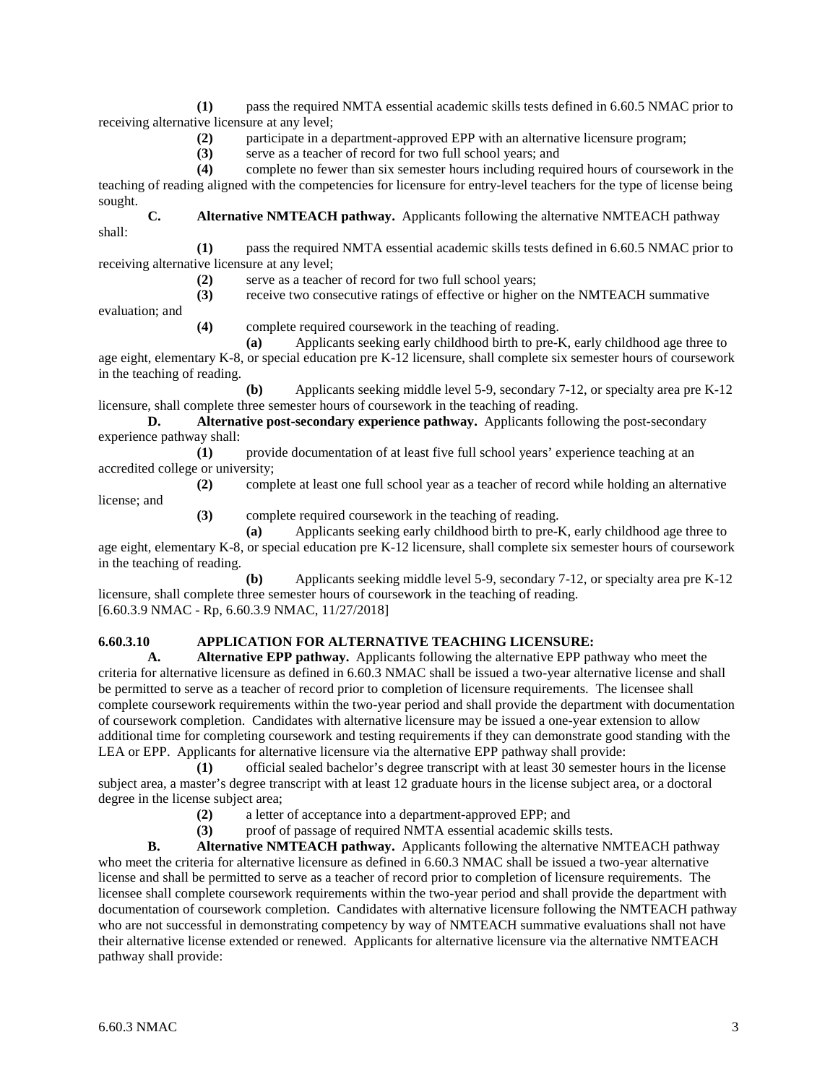**(1)** pass the required NMTA essential academic skills tests defined in 6.60.5 NMAC prior to receiving alternative licensure at any level;

**(2)** participate in a department-approved EPP with an alternative licensure program;

**(3)** serve as a teacher of record for two full school years; and

**(4)** complete no fewer than six semester hours including required hours of coursework in the teaching of reading aligned with the competencies for licensure for entry-level teachers for the type of license being sought.

**C. Alternative NMTEACH pathway.** Applicants following the alternative NMTEACH pathway shall:

**(1)** pass the required NMTA essential academic skills tests defined in 6.60.5 NMAC prior to receiving alternative licensure at any level;

**(2)** serve as a teacher of record for two full school years;

**(3)** receive two consecutive ratings of effective or higher on the NMTEACH summative

evaluation; and

**(4)** complete required coursework in the teaching of reading.

**(a)** Applicants seeking early childhood birth to pre-K, early childhood age three to age eight, elementary K-8, or special education pre K-12 licensure, shall complete six semester hours of coursework in the teaching of reading.

**(b)** Applicants seeking middle level 5-9, secondary 7-12, or specialty area pre K-12 licensure, shall complete three semester hours of coursework in the teaching of reading.

**D. Alternative post-secondary experience pathway.** Applicants following the post-secondary experience pathway shall:

**(1)** provide documentation of at least five full school years' experience teaching at an accredited college or university;

**(2)** complete at least one full school year as a teacher of record while holding an alternative

license; and

**(3)** complete required coursework in the teaching of reading.

**(a)** Applicants seeking early childhood birth to pre-K, early childhood age three to age eight, elementary K-8, or special education pre K-12 licensure, shall complete six semester hours of coursework in the teaching of reading.

**(b)** Applicants seeking middle level 5-9, secondary 7-12, or specialty area pre K-12 licensure, shall complete three semester hours of coursework in the teaching of reading. [6.60.3.9 NMAC - Rp, 6.60.3.9 NMAC, 11/27/2018]

# **6.60.3.10 APPLICATION FOR ALTERNATIVE TEACHING LICENSURE:**

**A. Alternative EPP pathway.** Applicants following the alternative EPP pathway who meet the criteria for alternative licensure as defined in 6.60.3 NMAC shall be issued a two-year alternative license and shall be permitted to serve as a teacher of record prior to completion of licensure requirements. The licensee shall complete coursework requirements within the two-year period and shall provide the department with documentation of coursework completion. Candidates with alternative licensure may be issued a one-year extension to allow additional time for completing coursework and testing requirements if they can demonstrate good standing with the LEA or EPP. Applicants for alternative licensure via the alternative EPP pathway shall provide:

**(1)** official sealed bachelor's degree transcript with at least 30 semester hours in the license subject area, a master's degree transcript with at least 12 graduate hours in the license subject area, or a doctoral degree in the license subject area;

**(2)** a letter of acceptance into a department-approved EPP; and

**(3)** proof of passage of required NMTA essential academic skills tests.

**B. Alternative NMTEACH pathway.** Applicants following the alternative NMTEACH pathway who meet the criteria for alternative licensure as defined in 6.60.3 NMAC shall be issued a two-year alternative license and shall be permitted to serve as a teacher of record prior to completion of licensure requirements. The licensee shall complete coursework requirements within the two-year period and shall provide the department with documentation of coursework completion. Candidates with alternative licensure following the NMTEACH pathway who are not successful in demonstrating competency by way of NMTEACH summative evaluations shall not have their alternative license extended or renewed. Applicants for alternative licensure via the alternative NMTEACH pathway shall provide: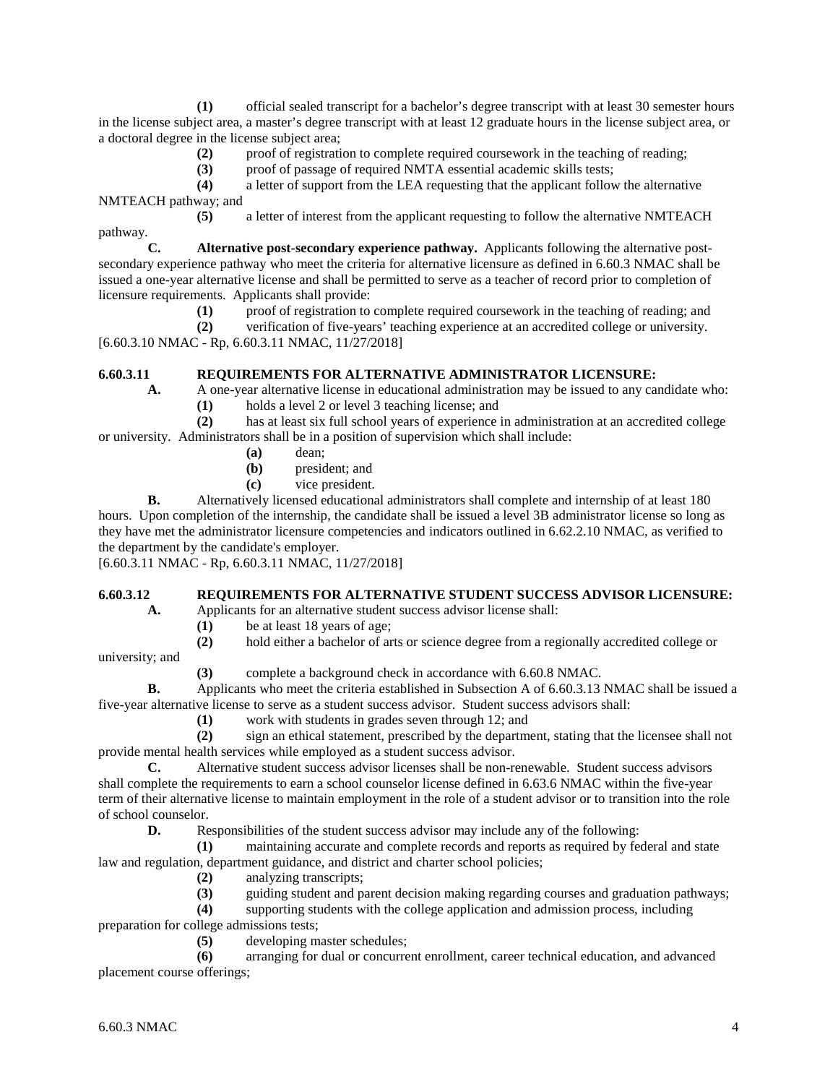**(1)** official sealed transcript for a bachelor's degree transcript with at least 30 semester hours in the license subject area, a master's degree transcript with at least 12 graduate hours in the license subject area, or a doctoral degree in the license subject area;

**(2)** proof of registration to complete required coursework in the teaching of reading;

(3) proof of passage of required NMTA essential academic skills tests;<br>(4) a letter of support from the LEA requesting that the applicant follow

**(4)** a letter of support from the LEA requesting that the applicant follow the alternative NMTEACH pathway; and

**(5)** a letter of interest from the applicant requesting to follow the alternative NMTEACH pathway.

**C. Alternative post-secondary experience pathway.** Applicants following the alternative postsecondary experience pathway who meet the criteria for alternative licensure as defined in 6.60.3 NMAC shall be issued a one-year alternative license and shall be permitted to serve as a teacher of record prior to completion of licensure requirements. Applicants shall provide:

**(1)** proof of registration to complete required coursework in the teaching of reading; and

**(2)** verification of five-years' teaching experience at an accredited college or university. [6.60.3.10 NMAC - Rp, 6.60.3.11 NMAC, 11/27/2018]

# **6.60.3.11 REQUIREMENTS FOR ALTERNATIVE ADMINISTRATOR LICENSURE:**

**A.** A one-year alternative license in educational administration may be issued to any candidate who: **(1)** holds a level 2 or level 3 teaching license; and

**(2)** has at least six full school years of experience in administration at an accredited college or university. Administrators shall be in a position of supervision which shall include:

- **(a)** dean;
- **(b)** president; and
- **(c)** vice president.

**B.** Alternatively licensed educational administrators shall complete and internship of at least 180 hours. Upon completion of the internship, the candidate shall be issued a level 3B administrator license so long as they have met the administrator licensure competencies and indicators outlined in 6.62.2.10 NMAC, as verified to the department by the candidate's employer.

[6.60.3.11 NMAC - Rp, 6.60.3.11 NMAC, 11/27/2018]

# **6.60.3.12 REQUIREMENTS FOR ALTERNATIVE STUDENT SUCCESS ADVISOR LICENSURE:**

**A.** Applicants for an alternative student success advisor license shall:

- (1) be at least 18 years of age;<br>(2) hold either a bachelor of ar
- **(2)** hold either a bachelor of arts or science degree from a regionally accredited college or

university; and

**(3)** complete a background check in accordance with 6.60.8 NMAC.

**B.** Applicants who meet the criteria established in Subsection A of 6.60.3.13 NMAC shall be issued a five-year alternative license to serve as a student success advisor. Student success advisors shall:

**(1)** work with students in grades seven through 12; and

**(2)** sign an ethical statement, prescribed by the department, stating that the licensee shall not provide mental health services while employed as a student success advisor.

**C.** Alternative student success advisor licenses shall be non-renewable. Student success advisors shall complete the requirements to earn a school counselor license defined in 6.63.6 NMAC within the five-year term of their alternative license to maintain employment in the role of a student advisor or to transition into the role of school counselor.

**D.** Responsibilities of the student success advisor may include any of the following:

**(1)** maintaining accurate and complete records and reports as required by federal and state law and regulation, department guidance, and district and charter school policies;

- **(2)** analyzing transcripts;
- **(3)** guiding student and parent decision making regarding courses and graduation pathways;

**(4)** supporting students with the college application and admission process, including

preparation for college admissions tests;

**(5)** developing master schedules;

**(6)** arranging for dual or concurrent enrollment, career technical education, and advanced placement course offerings;